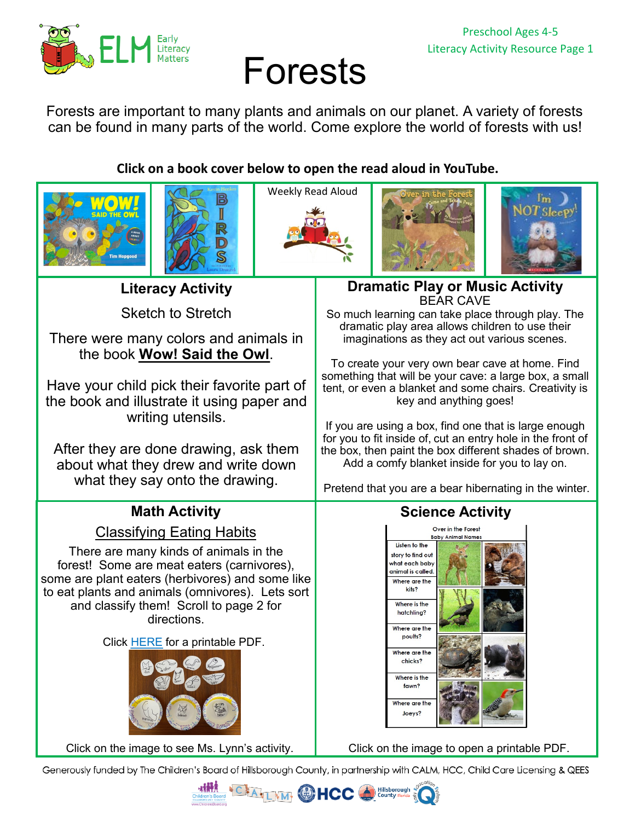

# Forests

Forests are important to many plants and animals on our planet. A variety of forests can be found in many parts of the world. Come explore the world of forests with us!

**Click on a book cover below to open the read aloud in YouTube.** 











**Literacy Activity**

Sketch to Stretch

There were many colors and animals in the book **[Wow! Said the Owl](https://youtu.be/IiNOGIK9xXY)**.

Have your child pick their favorite part of the book and illustrate it using paper and writing utensils.

After they are done drawing, ask them about what they drew and write down what they say onto the drawing.

# **Math Activity**

[Classifying Eating Habits](https://youtu.be/JtCby_ue5iU)

There are many kinds of animals in the forest! Some are meat eaters (carnivores), some are plant eaters (herbivores) and some like to eat plants and animals (omnivores). Lets sort and classify them! Scroll to page 2 for directions.

Click [HERE](https://26d1cb60-a951-4721-b330-1bf8fd66c702.filesusr.com/ugd/6d6c33_e7174cb2a37440c7aa3de6c825ed9726.pdf) for a printable PDF.



[Click on the image to see Ms. Lynn](https://youtu.be/JtCby_ue5iU)'s activity. [Click on the image to open a printable PDF.](https://26d1cb60-a951-4721-b330-1bf8fd66c702.filesusr.com/ugd/6d6c33_0a2a6e4a9f13454ca3f4a872d10d62fe.pdf)

### **Dramatic Play or Music Activity** BEAR CAVE

So much learning can take place through play. The dramatic play area allows children to use their imaginations as they act out various scenes.

To create your very own bear cave at home. Find something that will be your cave: a large box, a small tent, or even a blanket and some chairs. Creativity is key and anything goes!

If you are using a box, find one that is large enough for you to fit inside of, cut an entry hole in the front of the box, then paint the box different shades of brown. Add a comfy blanket inside for you to lay on.

Pretend that you are a bear hibernating in the winter.

## **Science Activity**



Generously funded by The Children's Board of Hillsborough County, in partnership with CALM, HCC, Child Care Licensing & QEES